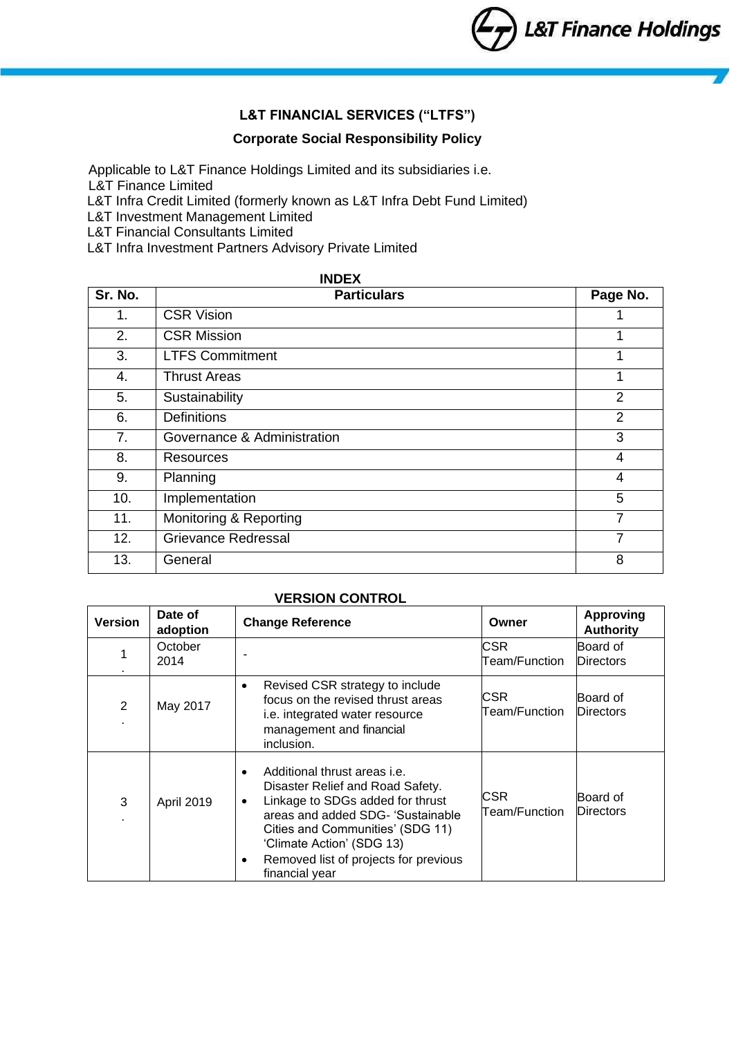# **L&T FINANCIAL SERVICES ("LTFS")**

### **Corporate Social Responsibility Policy**

Applicable to L&T Finance Holdings Limited and its subsidiaries i.e. L&T Finance Limited

L&T Infra Credit Limited (formerly known as L&T Infra Debt Fund Limited)

L&T Investment Management Limited

L&T Financial Consultants Limited

L&T Infra Investment Partners Advisory Private Limited

| <b>INDEX</b> |                             |                |  |  |  |
|--------------|-----------------------------|----------------|--|--|--|
| Sr. No.      | <b>Particulars</b>          | Page No.       |  |  |  |
| 1.           | <b>CSR Vision</b>           |                |  |  |  |
| 2.           | <b>CSR Mission</b>          | 1              |  |  |  |
| 3.           | <b>LTFS Commitment</b>      |                |  |  |  |
| 4.           | <b>Thrust Areas</b>         | 1              |  |  |  |
| 5.           | Sustainability              | 2              |  |  |  |
| 6.           | <b>Definitions</b>          | $\overline{2}$ |  |  |  |
| 7.           | Governance & Administration | 3              |  |  |  |
| 8.           | Resources                   | 4              |  |  |  |
| 9.           | Planning                    | 4              |  |  |  |
| 10.          | Implementation              | 5              |  |  |  |
| 11.          | Monitoring & Reporting      | 7              |  |  |  |
| 12.          | Grievance Redressal         | 7              |  |  |  |
| 13.          | General                     | 8              |  |  |  |

### **VERSION CONTROL**

| <b>Version</b> | Date of<br>adoption | <b>Change Reference</b>                                                                                                                                                                                                                                                                                      | Owner                  | <b>Approving</b><br><b>Authority</b> |
|----------------|---------------------|--------------------------------------------------------------------------------------------------------------------------------------------------------------------------------------------------------------------------------------------------------------------------------------------------------------|------------------------|--------------------------------------|
|                | October<br>2014     |                                                                                                                                                                                                                                                                                                              | CSR.<br>Team/Function  | Board of<br><b>Directors</b>         |
| $\overline{2}$ | May 2017            | Revised CSR strategy to include<br>$\bullet$<br>focus on the revised thrust areas<br>i.e. integrated water resource<br>management and financial<br>inclusion.                                                                                                                                                | CSR.<br>Team/Function_ | Board of<br><b>Directors</b>         |
| 3              | April 2019          | Additional thrust areas i.e.<br>$\bullet$<br>Disaster Relief and Road Safety.<br>Linkage to SDGs added for thrust<br>$\bullet$<br>areas and added SDG- 'Sustainable<br>Cities and Communities' (SDG 11)<br>'Climate Action' (SDG 13)<br>Removed list of projects for previous<br>$\bullet$<br>financial year | CSR.<br>Team/Function  | Board of<br><b>Directors</b>         |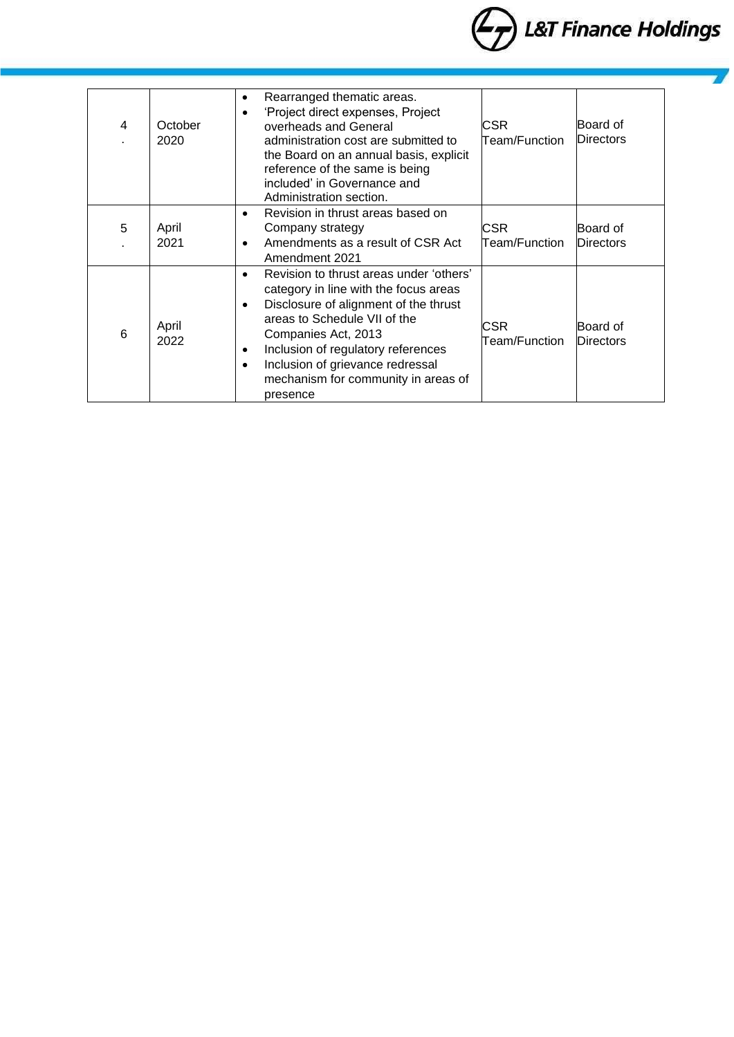

| 4 | October<br>2020 | Rearranged thematic areas.<br>٠<br>'Project direct expenses, Project<br>$\bullet$<br>overheads and General<br>administration cost are submitted to<br>the Board on an annual basis, explicit<br>reference of the same is being<br>included' in Governance and<br>Administration section.                                                                          | CSR.<br>Team/Function  | Board of<br><b>Directors</b> |
|---|-----------------|-------------------------------------------------------------------------------------------------------------------------------------------------------------------------------------------------------------------------------------------------------------------------------------------------------------------------------------------------------------------|------------------------|------------------------------|
| 5 | April<br>2021   | Revision in thrust areas based on<br>$\bullet$<br>Company strategy<br>Amendments as a result of CSR Act<br>٠<br>Amendment 2021                                                                                                                                                                                                                                    | CSR<br>Team/Function   | Board of<br><b>Directors</b> |
| 6 | April<br>2022   | Revision to thrust areas under 'others'<br>$\bullet$<br>category in line with the focus areas<br>Disclosure of alignment of the thrust<br>$\bullet$<br>areas to Schedule VII of the<br>Companies Act, 2013<br>Inclusion of regulatory references<br>$\bullet$<br>Inclusion of grievance redressal<br>$\bullet$<br>mechanism for community in areas of<br>presence | CSR.<br>Team/Function_ | Board of<br>Directors        |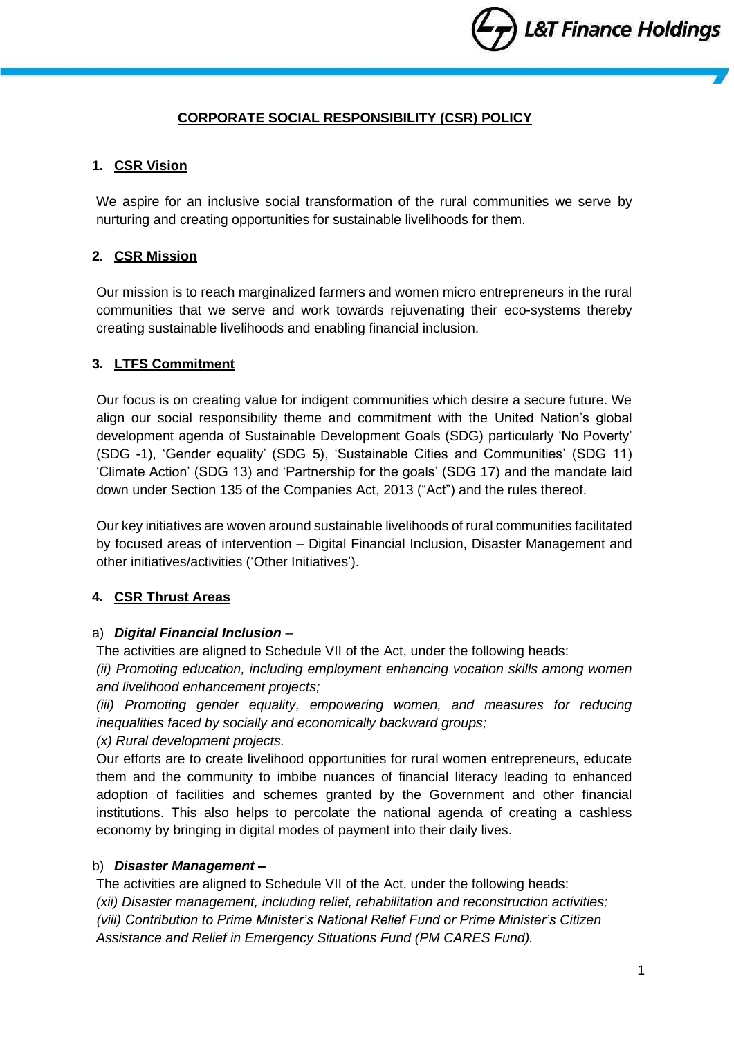# **CORPORATE SOCIAL RESPONSIBILITY (CSR) POLICY**

# **1. CSR Vision**

We aspire for an inclusive social transformation of the rural communities we serve by nurturing and creating opportunities for sustainable livelihoods for them.

# **2. CSR Mission**

Our mission is to reach marginalized farmers and women micro entrepreneurs in the rural communities that we serve and work towards rejuvenating their eco-systems thereby creating sustainable livelihoods and enabling financial inclusion.

# **3. LTFS Commitment**

Our focus is on creating value for indigent communities which desire a secure future. We align our social responsibility theme and commitment with the United Nation's global development agenda of Sustainable Development Goals (SDG) particularly 'No Poverty' (SDG -1), 'Gender equality' (SDG 5), 'Sustainable Cities and Communities' (SDG 11) 'Climate Action' (SDG 13) and 'Partnership for the goals' (SDG 17) and the mandate laid down under Section 135 of the Companies Act, 2013 ("Act") and the rules thereof.

Our key initiatives are woven around sustainable livelihoods of rural communities facilitated by focused areas of intervention – Digital Financial Inclusion, Disaster Management and other initiatives/activities ('Other Initiatives').

# **4. CSR Thrust Areas**

## a) *Digital Financial Inclusion* –

The activities are aligned to Schedule VII of the Act, under the following heads:

*(ii) Promoting education, including employment enhancing vocation skills among women and livelihood enhancement projects;* 

*(iii) Promoting gender equality, empowering women, and measures for reducing inequalities faced by socially and economically backward groups;* 

*(x) Rural development projects.*

Our efforts are to create livelihood opportunities for rural women entrepreneurs, educate them and the community to imbibe nuances of financial literacy leading to enhanced adoption of facilities and schemes granted by the Government and other financial institutions. This also helps to percolate the national agenda of creating a cashless economy by bringing in digital modes of payment into their daily lives.

## b) *Disaster Management –*

The activities are aligned to Schedule VII of the Act, under the following heads: *(xii) Disaster management, including relief, rehabilitation and reconstruction activities; (viii) Contribution to Prime Minister's National Relief Fund or Prime Minister's Citizen Assistance and Relief in Emergency Situations Fund (PM CARES Fund).*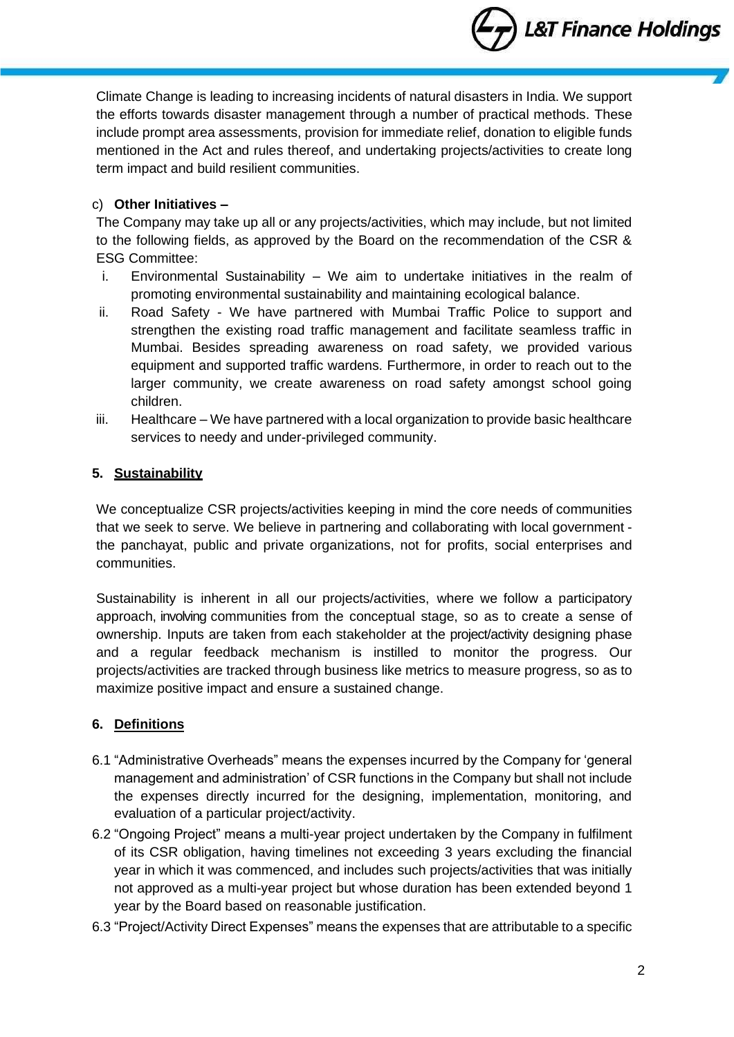L&T Finance Holdings

Climate Change is leading to increasing incidents of natural disasters in India. We support the efforts towards disaster management through a number of practical methods. These include prompt area assessments, provision for immediate relief, donation to eligible funds mentioned in the Act and rules thereof, and undertaking projects/activities to create long term impact and build resilient communities.

# c) **Other Initiatives –**

The Company may take up all or any projects/activities, which may include, but not limited to the following fields, as approved by the Board on the recommendation of the CSR & ESG Committee:

- i. Environmental Sustainability We aim to undertake initiatives in the realm of promoting environmental sustainability and maintaining ecological balance.
- ii. Road Safety We have partnered with Mumbai Traffic Police to support and strengthen the existing road traffic management and facilitate seamless traffic in Mumbai. Besides spreading awareness on road safety, we provided various equipment and supported traffic wardens. Furthermore, in order to reach out to the larger community, we create awareness on road safety amongst school going children.
- iii. Healthcare We have partnered with a local organization to provide basic healthcare services to needy and under-privileged community.

# **5. Sustainability**

We conceptualize CSR projects/activities keeping in mind the core needs of communities that we seek to serve. We believe in partnering and collaborating with local government the panchayat, public and private organizations, not for profits, social enterprises and communities.

Sustainability is inherent in all our projects/activities, where we follow a participatory approach, involving communities from the conceptual stage, so as to create a sense of ownership. Inputs are taken from each stakeholder at the project/activity designing phase and a regular feedback mechanism is instilled to monitor the progress. Our projects/activities are tracked through business like metrics to measure progress, so as to maximize positive impact and ensure a sustained change.

# **6. Definitions**

- 6.1 "Administrative Overheads" means the expenses incurred by the Company for 'general management and administration' of CSR functions in the Company but shall not include the expenses directly incurred for the designing, implementation, monitoring, and evaluation of a particular project/activity.
- 6.2 "Ongoing Project" means a multi-year project undertaken by the Company in fulfilment of its CSR obligation, having timelines not exceeding 3 years excluding the financial year in which it was commenced, and includes such projects/activities that was initially not approved as a multi-year project but whose duration has been extended beyond 1 year by the Board based on reasonable justification.
- 6.3 "Project/Activity Direct Expenses" means the expenses that are attributable to a specific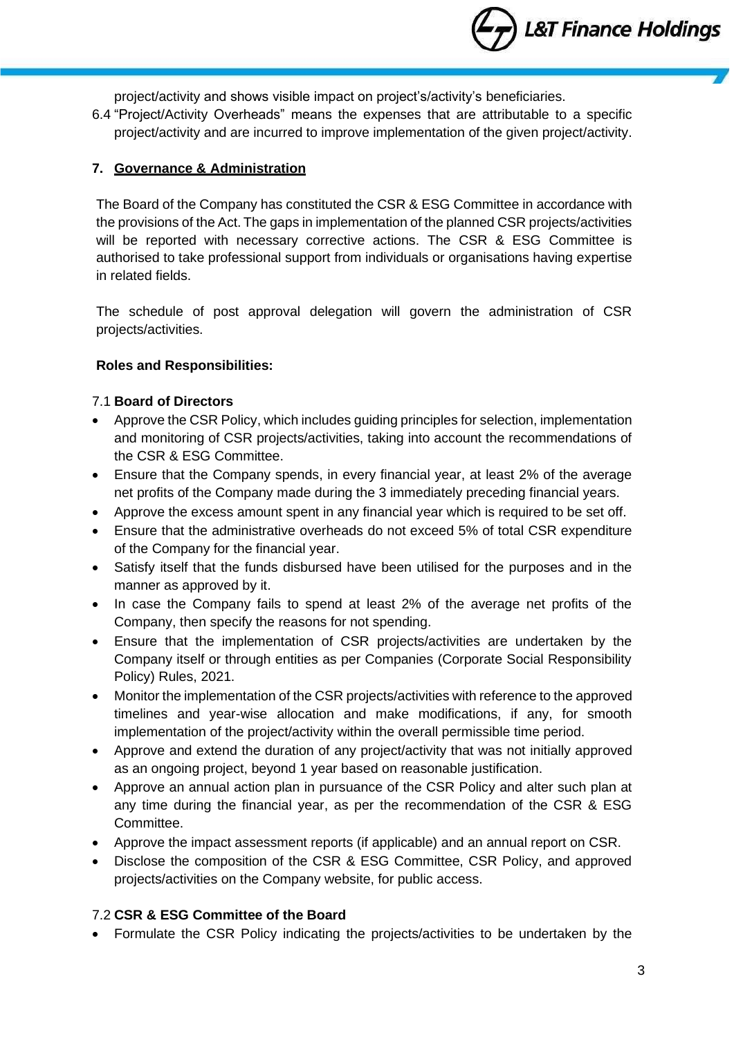**L&T Finance Holdings** 

project/activity and shows visible impact on project's/activity's beneficiaries.

6.4 "Project/Activity Overheads" means the expenses that are attributable to a specific project/activity and are incurred to improve implementation of the given project/activity.

### **7. Governance & Administration**

The Board of the Company has constituted the CSR & ESG Committee in accordance with the provisions of the Act. The gaps in implementation of the planned CSR projects/activities will be reported with necessary corrective actions. The CSR & ESG Committee is authorised to take professional support from individuals or organisations having expertise in related fields.

The schedule of post approval delegation will govern the administration of CSR projects/activities.

### **Roles and Responsibilities:**

### 7.1 **Board of Directors**

- Approve the CSR Policy, which includes guiding principles for selection, implementation and monitoring of CSR projects/activities, taking into account the recommendations of the CSR & ESG Committee.
- Ensure that the Company spends, in every financial year, at least 2% of the average net profits of the Company made during the 3 immediately preceding financial years.
- Approve the excess amount spent in any financial year which is required to be set off.
- Ensure that the administrative overheads do not exceed 5% of total CSR expenditure of the Company for the financial year.
- Satisfy itself that the funds disbursed have been utilised for the purposes and in the manner as approved by it.
- In case the Company fails to spend at least 2% of the average net profits of the Company, then specify the reasons for not spending.
- Ensure that the implementation of CSR projects/activities are undertaken by the Company itself or through entities as per Companies (Corporate Social Responsibility Policy) Rules, 2021.
- Monitor the implementation of the CSR projects/activities with reference to the approved timelines and year-wise allocation and make modifications, if any, for smooth implementation of the project/activity within the overall permissible time period.
- Approve and extend the duration of any project/activity that was not initially approved as an ongoing project, beyond 1 year based on reasonable justification.
- Approve an annual action plan in pursuance of the CSR Policy and alter such plan at any time during the financial year, as per the recommendation of the CSR & ESG Committee.
- Approve the impact assessment reports (if applicable) and an annual report on CSR.
- Disclose the composition of the CSR & ESG Committee, CSR Policy, and approved projects/activities on the Company website, for public access.

### 7.2 **CSR & ESG Committee of the Board**

• Formulate the CSR Policy indicating the projects/activities to be undertaken by the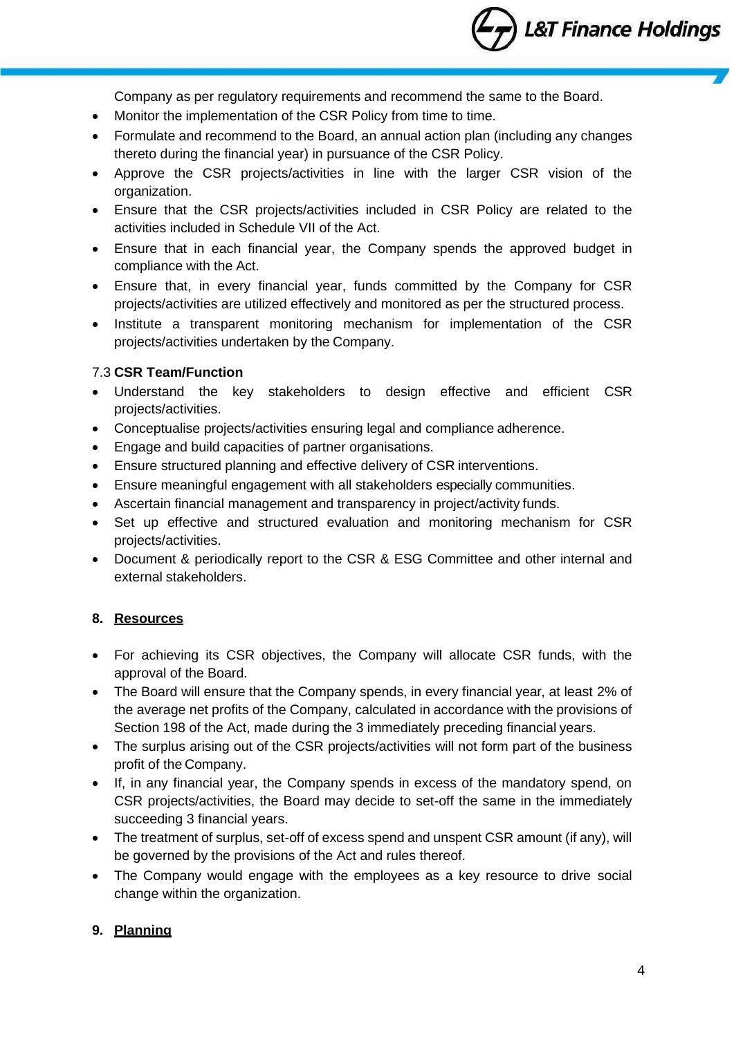**L&T Finance Holdings** 

Company as per regulatory requirements and recommend the same to the Board.

- Monitor the implementation of the CSR Policy from time to time.
- Formulate and recommend to the Board, an annual action plan (including any changes thereto during the financial year) in pursuance of the CSR Policy.
- Approve the CSR projects/activities in line with the larger CSR vision of the organization.
- Ensure that the CSR projects/activities included in CSR Policy are related to the activities included in Schedule VII of the Act.
- Ensure that in each financial year, the Company spends the approved budget in compliance with the Act.
- Ensure that, in every financial year, funds committed by the Company for CSR projects/activities are utilized effectively and monitored as per the structured process.
- Institute a transparent monitoring mechanism for implementation of the CSR projects/activities undertaken by the Company.

### 7.3 **CSR Team/Function**

- Understand the key stakeholders to design effective and efficient CSR projects/activities.
- Conceptualise projects/activities ensuring legal and compliance adherence.
- Engage and build capacities of partner organisations.
- Ensure structured planning and effective delivery of CSR interventions.
- Ensure meaningful engagement with all stakeholders especially communities.
- Ascertain financial management and transparency in project/activity funds.
- Set up effective and structured evaluation and monitoring mechanism for CSR projects/activities.
- Document & periodically report to the CSR & ESG Committee and other internal and external stakeholders.

## **8. Resources**

- For achieving its CSR objectives, the Company will allocate CSR funds, with the approval of the Board.
- The Board will ensure that the Company spends, in every financial year, at least 2% of the average net profits of the Company, calculated in accordance with the provisions of Section 198 of the Act, made during the 3 immediately preceding financial years.
- The surplus arising out of the CSR projects/activities will not form part of the business profit of the Company.
- If, in any financial year, the Company spends in excess of the mandatory spend, on CSR projects/activities, the Board may decide to set-off the same in the immediately succeeding 3 financial years.
- The treatment of surplus, set-off of excess spend and unspent CSR amount (if any), will be governed by the provisions of the Act and rules thereof.
- The Company would engage with the employees as a key resource to drive social change within the organization.

## **9. Planning**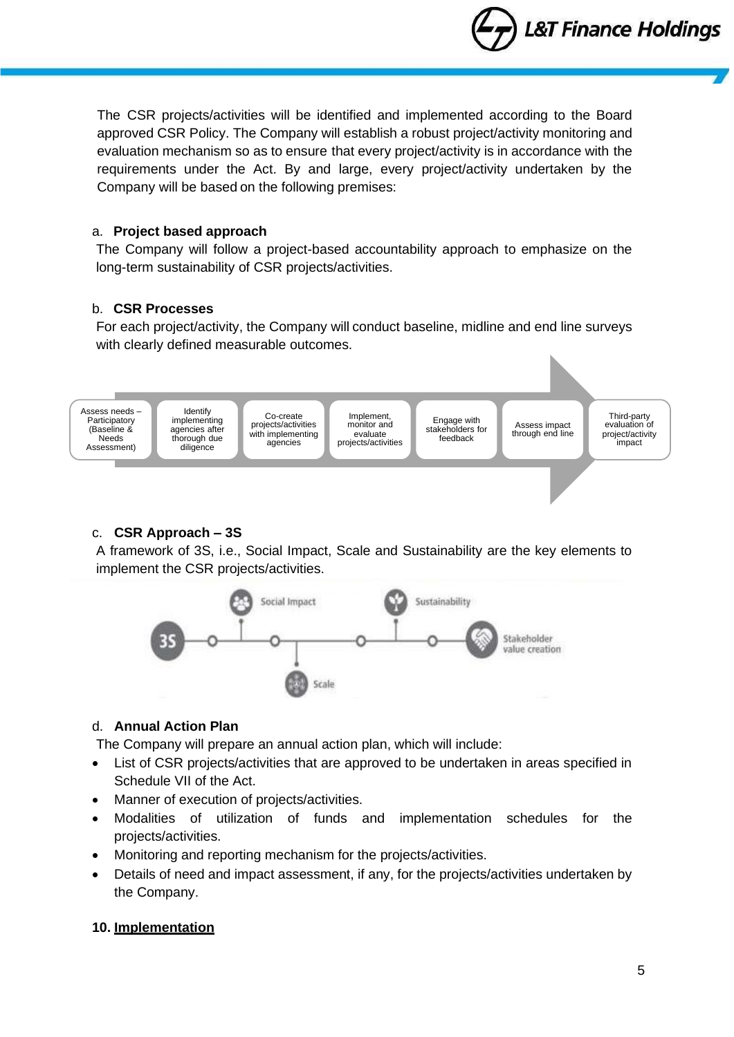**L&T Finance Holdings** 

The CSR projects/activities will be identified and implemented according to the Board approved CSR Policy. The Company will establish a robust project/activity monitoring and evaluation mechanism so as to ensure that every project/activity is in accordance with the requirements under the Act. By and large, every project/activity undertaken by the Company will be based on the following premises:

#### a. **Project based approach**

The Company will follow a project-based accountability approach to emphasize on the long-term sustainability of CSR projects/activities.

#### b. **CSR Processes**

For each project/activity, the Company will conduct baseline, midline and end line surveys with clearly defined measurable outcomes.



### c. **CSR Approach – 3S**

A framework of 3S, i.e., Social Impact, Scale and Sustainability are the key elements to implement the CSR projects/activities.



### d. **Annual Action Plan**

The Company will prepare an annual action plan, which will include:

- List of CSR projects/activities that are approved to be undertaken in areas specified in Schedule VII of the Act.
- Manner of execution of projects/activities.
- Modalities of utilization of funds and implementation schedules for the projects/activities.
- Monitoring and reporting mechanism for the projects/activities.
- Details of need and impact assessment, if any, for the projects/activities undertaken by the Company.

### **10. Implementation**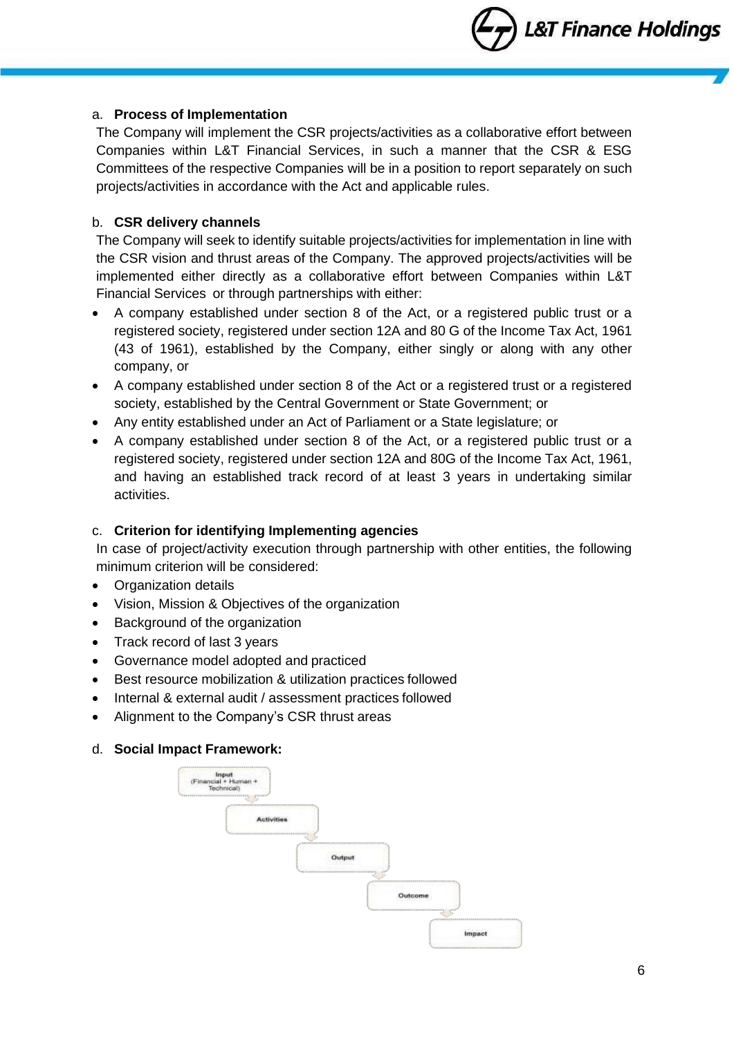### a. **Process of Implementation**

The Company will implement the CSR projects/activities as a collaborative effort between Companies within L&T Financial Services, in such a manner that the CSR & ESG Committees of the respective Companies will be in a position to report separately on such projects/activities in accordance with the Act and applicable rules.

## b. **CSR delivery channels**

The Company will seek to identify suitable projects/activities for implementation in line with the CSR vision and thrust areas of the Company. The approved projects/activities will be implemented either directly as a collaborative effort between Companies within L&T Financial Services or through partnerships with either:

- A company established under section 8 of the Act, or a registered public trust or a registered society, registered under section 12A and 80 G of the Income Tax Act, 1961 (43 of 1961), established by the Company, either singly or along with any other company, or
- A company established under section 8 of the Act or a registered trust or a registered society, established by the Central Government or State Government; or
- Any entity established under an Act of Parliament or a State legislature; or
- A company established under section 8 of the Act, or a registered public trust or a registered society, registered under section 12A and 80G of the Income Tax Act, 1961, and having an established track record of at least 3 years in undertaking similar activities.

## c. **Criterion for identifying Implementing agencies**

In case of project/activity execution through partnership with other entities, the following minimum criterion will be considered:

- Organization details
- Vision, Mission & Objectives of the organization
- Background of the organization
- Track record of last 3 years
- Governance model adopted and practiced
- Best resource mobilization & utilization practices followed
- Internal & external audit / assessment practices followed
- Alignment to the Company's CSR thrust areas

### d. **Social Impact Framework:**

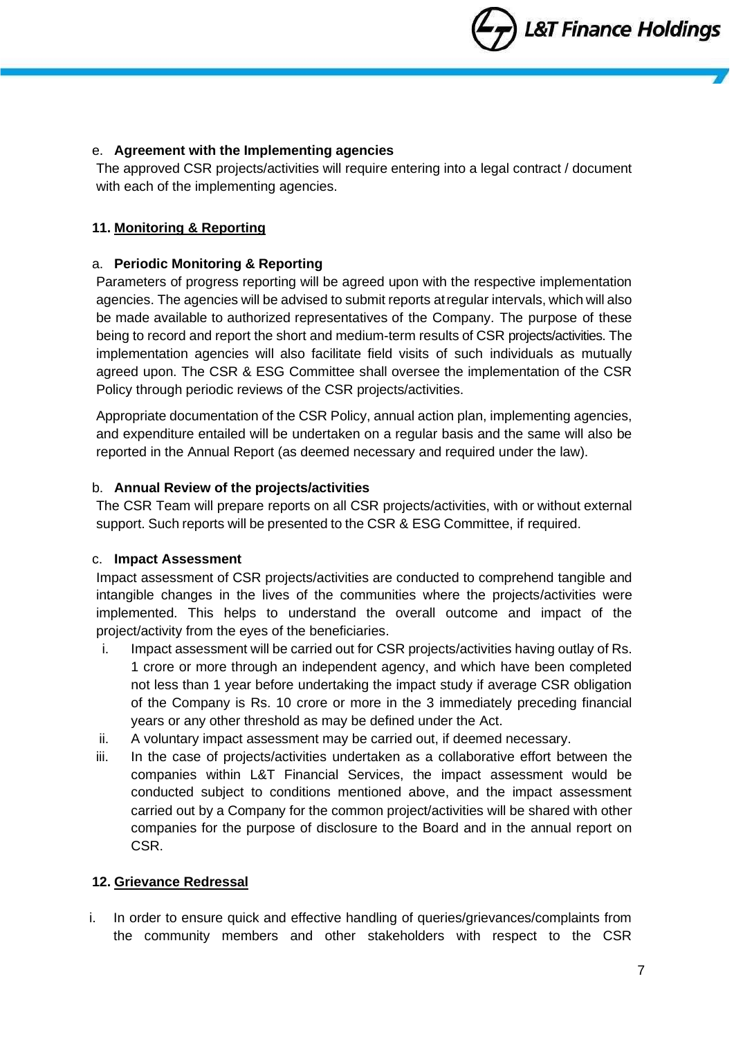L&T Finance Holdings

### e. **Agreement with the Implementing agencies**

The approved CSR projects/activities will require entering into a legal contract / document with each of the implementing agencies.

### **11. Monitoring & Reporting**

### a. **Periodic Monitoring & Reporting**

Parameters of progress reporting will be agreed upon with the respective implementation agencies. The agencies will be advised to submit reports atregular intervals, which will also be made available to authorized representatives of the Company. The purpose of these being to record and report the short and medium-term results of CSR projects/activities. The implementation agencies will also facilitate field visits of such individuals as mutually agreed upon. The CSR & ESG Committee shall oversee the implementation of the CSR Policy through periodic reviews of the CSR projects/activities.

Appropriate documentation of the CSR Policy, annual action plan, implementing agencies, and expenditure entailed will be undertaken on a regular basis and the same will also be reported in the Annual Report (as deemed necessary and required under the law).

### b. **Annual Review of the projects/activities**

The CSR Team will prepare reports on all CSR projects/activities, with or without external support. Such reports will be presented to the CSR & ESG Committee, if required.

### c. **Impact Assessment**

Impact assessment of CSR projects/activities are conducted to comprehend tangible and intangible changes in the lives of the communities where the projects/activities were implemented. This helps to understand the overall outcome and impact of the project/activity from the eyes of the beneficiaries.

- i. Impact assessment will be carried out for CSR projects/activities having outlay of Rs. 1 crore or more through an independent agency, and which have been completed not less than 1 year before undertaking the impact study if average CSR obligation of the Company is Rs. 10 crore or more in the 3 immediately preceding financial years or any other threshold as may be defined under the Act.
- ii. A voluntary impact assessment may be carried out, if deemed necessary.
- iii. In the case of projects/activities undertaken as a collaborative effort between the companies within L&T Financial Services, the impact assessment would be conducted subject to conditions mentioned above, and the impact assessment carried out by a Company for the common project/activities will be shared with other companies for the purpose of disclosure to the Board and in the annual report on CSR.

### **12. Grievance Redressal**

i. In order to ensure quick and effective handling of queries/grievances/complaints from the community members and other stakeholders with respect to the CSR